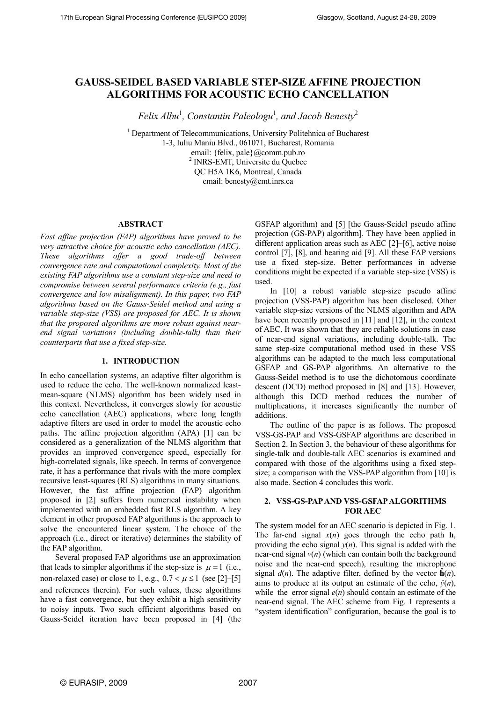# **GAUSS-SEIDEL BASED VARIABLE STEP-SIZE AFFINE PROJECTION ALGORITHMS FOR ACOUSTIC ECHO CANCELLATION**

*Felix Albu*<sup>1</sup> *, Constantin Paleologu*<sup>1</sup> *, and Jacob Benesty*<sup>2</sup>

<sup>1</sup> Department of Telecommunications, University Politehnica of Bucharest 1-3, Iuliu Maniu Blvd., 061071, Bucharest, Romania email: {felix, pale}@comm.pub.ro <sup>2</sup> INRS-EMT, Universite du Quebec QC H5A 1K6, Montreal, Canada email: benesty@emt.inrs.ca

### **ABSTRACT**

*Fast affine projection (FAP) algorithms have proved to be very attractive choice for acoustic echo cancellation (AEC). These algorithms offer a good trade-off between convergence rate and computational complexity. Most of the existing FAP algorithms use a constant step-size and need to compromise between several performance criteria (e.g., fast convergence and low misalignment). In this paper, two FAP algorithms based on the Gauss-Seidel method and using a variable step-size (VSS) are proposed for AEC. It is shown that the proposed algorithms are more robust against nearend signal variations (including double-talk) than their counterparts that use a fixed step-size.* 

## **1. INTRODUCTION**

In echo cancellation systems, an adaptive filter algorithm is used to reduce the echo. The well-known normalized leastmean-square (NLMS) algorithm has been widely used in this context. Nevertheless, it converges slowly for acoustic echo cancellation (AEC) applications, where long length adaptive filters are used in order to model the acoustic echo paths. The affine projection algorithm (APA) [1] can be considered as a generalization of the NLMS algorithm that provides an improved convergence speed, especially for high-correlated signals, like speech. In terms of convergence rate, it has a performance that rivals with the more complex recursive least-squares (RLS) algorithms in many situations. However, the fast affine projection (FAP) algorithm proposed in [2] suffers from numerical instability when implemented with an embedded fast RLS algorithm. A key element in other proposed FAP algorithms is the approach to solve the encountered linear system. The choice of the approach (i.e., direct or iterative) determines the stability of the FAP algorithm.

Several proposed FAP algorithms use an approximation that leads to simpler algorithms if the step-size is  $\mu = 1$  (i.e., non-relaxed case) or close to 1, e.g.,  $0.7 < \mu \le 1$  (see [2]–[5] and references therein). For such values, these algorithms have a fast convergence, but they exhibit a high sensitivity to noisy inputs. Two such efficient algorithms based on Gauss-Seidel iteration have been proposed in [4] (the GSFAP algorithm) and [5] [the Gauss-Seidel pseudo affine projection (GS-PAP) algorithm]. They have been applied in different application areas such as AEC [2]–[6], active noise control [7], [8], and hearing aid [9]. All these FAP versions use a fixed step-size. Better performances in adverse conditions might be expected if a variable step-size (VSS) is used.

In [10] a robust variable step-size pseudo affine projection (VSS-PAP) algorithm has been disclosed. Other variable step-size versions of the NLMS algorithm and APA have been recently proposed in [11] and [12], in the context of AEC. It was shown that they are reliable solutions in case of near-end signal variations, including double-talk. The same step-size computational method used in these VSS algorithms can be adapted to the much less computational GSFAP and GS-PAP algorithms. An alternative to the Gauss-Seidel method is to use the dichotomous coordinate descent (DCD) method proposed in [8] and [13]. However, although this DCD method reduces the number of multiplications, it increases significantly the number of additions.

The outline of the paper is as follows. The proposed VSS-GS-PAP and VSS-GSFAP algorithms are described in Section 2. In Section 3, the behaviour of these algorithms for single-talk and double-talk AEC scenarios is examined and compared with those of the algorithms using a fixed stepsize; a comparison with the VSS-PAP algorithm from [10] is also made. Section 4 concludes this work.

## **2. VSS-GS-PAPAND VSS-GSFAPALGORITHMS FOR AEC**

The system model for an AEC scenario is depicted in Fig. 1. The far-end signal  $x(n)$  goes through the echo path **h**, providing the echo signal  $y(n)$ . This signal is added with the near-end signal  $v(n)$  (which can contain both the background noise and the near-end speech), resulting the microphone signal  $d(n)$ . The adaptive filter, defined by the vector  $\hat{\mathbf{h}}(n)$ , aims to produce at its output an estimate of the echo,  $\hat{y}(n)$ , while the error signal  $e(n)$  should contain an estimate of the near-end signal. The AEC scheme from Fig. 1 represents a "system identification" configuration, because the goal is to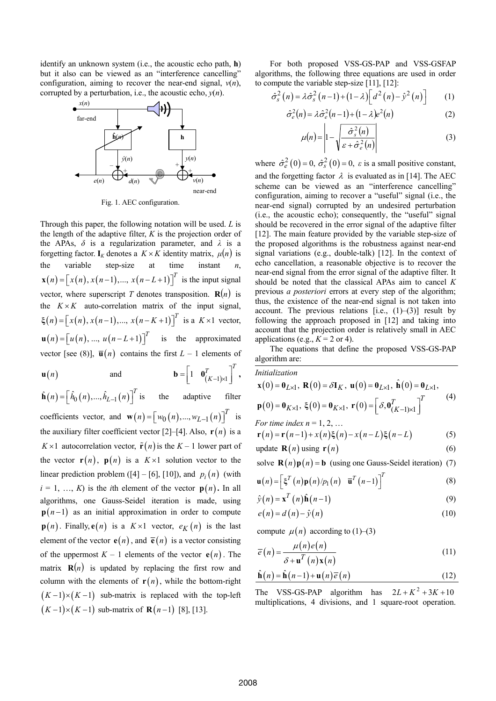identify an unknown system (i.e., the acoustic echo path, **h**) but it also can be viewed as an "interference cancelling" configuration, aiming to recover the near-end signal,  $v(n)$ ,



Fig. 1. AEC configuration.

Through this paper, the following notation will be used. *L* is the length of the adaptive filter, *K* is the projection order of the APAs,  $\delta$  is a regularization parameter, and  $\lambda$  is a forgetting factor. **I**<sub>K</sub> denotes a  $K \times K$  identity matrix,  $\mu(n)$  is the variable step-size at time instant *n*,  $\mathbf{x}(n) = \left[ x(n), x(n-1), \dots, x(n-L+1) \right]^T$  is the input signal vector, where superscript *T* denotes transposition.  $\mathbf{R}(n)$  is the  $K \times K$  auto-correlation matrix of the input signal,  $\xi(n) = [x(n), x(n-1), ..., x(n-K+1)]^T$  is a  $K \times 1$  vector,  $\mathbf{u}(n) = \begin{bmatrix} u(n), ..., u(n-L+1) \end{bmatrix}^T$  is the approximated vector [see (8)],  $\overline{\mathbf{u}}(n)$  contains the first  $L-1$  elements of

$$
\mathbf{u}(n) \qquad \text{and} \qquad \mathbf{b} = \begin{bmatrix} 1 & \mathbf{0}_{(K-1)\times 1}^T \end{bmatrix}^T,
$$

the adaptive filter coefficients vector, and  $\mathbf{w}(n) = \begin{bmatrix} w_0(n), ..., w_{L-1}(n) \end{bmatrix}^T$  is the auxiliary filter coefficient vector  $[2]$ – $[4]$ . Also,  $\mathbf{r}(n)$  is a  $\hat{\mathbf{h}}(n) = \left[ \hat{h}_0(n), ..., \hat{h}_{L-1}(n) \right]^T$  $K \times 1$  autocorrelation vector,  $\tilde{\mathbf{r}}(n)$  is the  $K - 1$  lower part of the vector  $\mathbf{r}(n)$ ,  $\mathbf{p}(n)$  is a  $K \times 1$  solution vector to the linear prediction problem ([4] – [6], [10]), and  $p_i(n)$  (with  $i = 1, ..., K$ ) is the *i*th element of the vector  $p(n)$ . In all algorithms, one Gauss-Seidel iteration is made, using  $p(n-1)$  as an initial approximation in order to compute  $p(n)$ . Finally,  $e(n)$  is a  $K \times 1$  vector,  $e_K(n)$  is the last element of the vector  $e(n)$ , and  $\overline{e}(n)$  is a vector consisting of the uppermost  $K - 1$  elements of the vector  $e(n)$ . The matrix  $\mathbf{R}(n)$  is updated by replacing the first row and column with the elements of  $r(n)$ , while the bottom-right  $(K-1)\times(K-1)$  sub-matrix is replaced with the top-left  $(K-1)\times(K-1)$  sub-matrix of  $\mathbf{R}(n-1)$  [8], [13].

For both proposed VSS-GS-PAP and VSS-GSFAP algorithms, the following three equations are used in order to compute the variable step-size [11], [12]:

corrupted by a perturbation, i.e., the acoustic echo, 
$$
y(n)
$$
.  
\n
$$
\hat{\sigma}_s^2(n) = \lambda \hat{\sigma}_s^2(n-1) + (1-\lambda) \left[ d^2(n) - \hat{y}^2(n) \right]
$$
\n(1)

far-end 
$$
\hat{\sigma}_e^2(n) = \lambda \hat{\sigma}_e^2(n-1) + (1-\lambda)e^2(n)
$$
 (2)

$$
\hat{\mathbf{h}}(\boldsymbol{\mu}) = \left| 1 - \sqrt{\frac{\hat{\sigma}_s^2(n)}{\varepsilon + \hat{\sigma}_e^2(n)}} \right| \tag{3}
$$

 $\hat{y}(n)$  **y**(*n*) *y*(*n*) *where* $\hat{\sigma}_e^2(0) = 0$ **,**  $\hat{\sigma}_s^2(0) = 0$ **,**  $\varepsilon$  **is a small positive constant,** and the forgetting factor  $\lambda$  is evaluated as in [14]. The AEC scheme can be viewed as an "interference cancelling" configuration, aiming to recover a "useful" signal (i.e., the near-end signal) corrupted by an undesired perturbation (i.e., the acoustic echo); consequently, the "useful" signal should be recovered in the error signal of the adaptive filter [12]. The main feature provided by the variable step-size of the proposed algorithms is the robustness against near-end signal variations (e.g., double-talk) [12]. In the context of echo cancellation, a reasonable objective is to recover the near-end signal from the error signal of the adaptive filter. It should be noted that the classical APAs aim to cancel *K* previous *a posteriori* errors at every step of the algorithm; thus, the existence of the near-end signal is not taken into account. The previous relations  $[i.e., (1)–(3)]$  result by following the approach proposed in [12] and taking into account that the projection order is relatively small in AEC applications (e.g.,  $K = 2$  or 4).

> The equations that define the proposed VSS-GS-PAP algorithm are:

*Initialization*  
\n
$$
\mathbf{x}(0) = \mathbf{0}_{L\times 1}, \ \mathbf{R}(0) = \delta \mathbf{I}_K, \ \mathbf{u}(0) = \mathbf{0}_{L\times 1}, \ \hat{\mathbf{h}}(0) = \mathbf{0}_{L\times 1},
$$
\n
$$
\mathbf{p}(0) = \mathbf{0}_{K\times 1}, \ \xi(0) = \mathbf{0}_{K\times 1}, \ \mathbf{r}(0) = \begin{bmatrix} \delta, \mathbf{0}_{K-1}^T \end{bmatrix}^T
$$
\n*For time index n = 1, 2, ...* (4)

$$
\mathbf{r}(n) = \mathbf{r}(n-1) + x(n)\xi(n) - x(n-L)\xi(n-L)
$$
 (5)

update 
$$
\mathbf{R}(n)
$$
 using  $\mathbf{r}(n)$  (6)

solve  $\mathbf{R}(n)\mathbf{p}(n) = \mathbf{b}$  (using one Gauss-Seidel iteration) (7)

$$
\mathbf{u}(n) = \left[\xi^{T}(n)\mathbf{p}(n)/p_{1}(n) \quad \overline{\mathbf{u}}^{T}(n-1)\right]^{T}
$$
 (8)

$$
\hat{y}(n) = \mathbf{x}^{T}(n)\hat{\mathbf{h}}(n-1)
$$
\n(9)

$$
e(n) = d(n) - \hat{y}(n)
$$
 (10)

compute  $\mu(n)$  according to (1)–(3)

$$
\overline{e}(n) = \frac{\mu(n)e(n)}{\delta + \mathbf{u}^{T}(n)\mathbf{x}(n)}
$$
(11)

$$
\hat{\mathbf{h}}(n) = \hat{\mathbf{h}}(n-1) + \mathbf{u}(n)\overline{e}(n)
$$
\n(12)

The VSS-GS-PAP algorithm has  $2L + K^2 + 3K + 10$ multiplications, 4 divisions, and 1 square-root operation.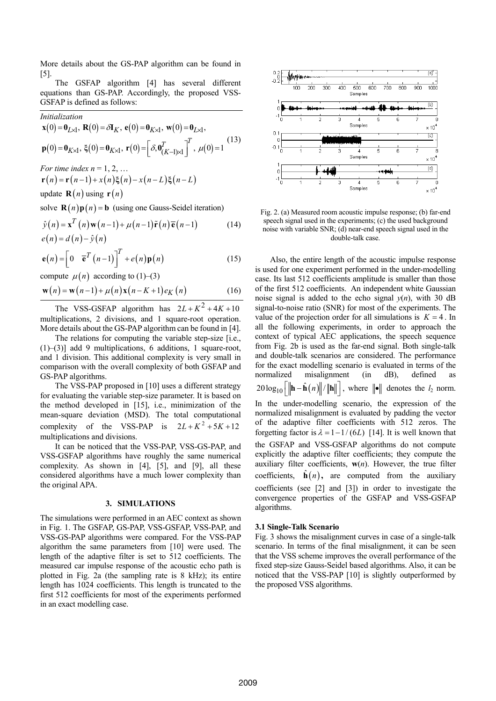More details about the GS-PAP algorithm can be found in [5].

The GSFAP algorithm [4] has several different equations than GS-PAP. Accordingly, the proposed VSS-GSFAP is defined as follows:

*Initialization*

$$
\mathbf{x}(0) = \mathbf{0}_{L \times 1}, \ \mathbf{R}(0) = \delta \mathbf{I}_{K}, \ \mathbf{e}(0) = \mathbf{0}_{K \times 1}, \ \mathbf{w}(0) = \mathbf{0}_{L \times 1}, \n\mathbf{p}(0) = \mathbf{0}_{K \times 1}, \ \xi(0) = \mathbf{0}_{K \times 1}, \ \mathbf{r}(0) = \left[\delta, \mathbf{0}_{(K-1) \times 1}^{T}\right]^{T}, \ \mu(0) = 1
$$
\n(13)

*For time index n* = 1, 2, ...

$$
\mathbf{r}(n) = \mathbf{r}(n-1) + x(n)\xi(n) - x(n-L)\xi(n-L)
$$
  
update  $\mathbf{R}(n)$  using  $\mathbf{r}(n)$ 

solve  $\mathbf{R}(n)\mathbf{p}(n) = \mathbf{b}$  (using one Gauss-Seidel iteration)

$$
\hat{y}(n) = \mathbf{x}^{T}(n)\mathbf{w}(n-1) + \mu(n-1)\tilde{\mathbf{r}}(n)\overline{\mathbf{e}}(n-1)
$$
\n
$$
e(n) = d(n) - \hat{y}(n)
$$
\n(14)

$$
\mathbf{e}(n) = \begin{bmatrix} 0 & \overline{\mathbf{e}}^T (n-1) \end{bmatrix}^T + e(n) \mathbf{p}(n)
$$
 (15)

compute  $\mu(n)$  according to (1)–(3)

$$
\mathbf{w}(n) = \mathbf{w}(n-1) + \mu(n)\mathbf{x}(n-K+1)e_K(n)
$$
 (16)

The VSS-GSFAP algorithm has  $2L + K^2 + 4K + 10$ multiplications, 2 divisions, and 1 square-root operation. More details about the GS-PAP algorithm can be found in [4].

The relations for computing the variable step-size [i.e., (1)–(3)] add 9 multiplications, 6 additions, 1 square-root, and 1 division. This additional complexity is very small in comparison with the overall complexity of both GSFAP and GS-PAP algorithms.

The VSS-PAP proposed in [10] uses a different strategy for evaluating the variable step-size parameter. It is based on the method developed in [15], i.e., minimization of the mean-square deviation (MSD). The total computational complexity of the VSS-PAP is multiplications and divisions.  $2L + K^2 + 5K + 12$ 

It can be noticed that the VSS-PAP, VSS-GS-PAP, and VSS-GSFAP algorithms have roughly the same numerical complexity. As shown in [4], [5], and [9], all these considered algorithms have a much lower complexity than the original APA.

### **3. SIMULATIONS**

The simulations were performed in an AEC context as shown in Fig. 1. The GSFAP, GS-PAP, VSS-GSFAP, VSS-PAP, and VSS-GS-PAP algorithms were compared. For the VSS-PAP algorithm the same parameters from [10] were used. The length of the adaptive filter is set to 512 coefficients. The measured car impulse response of the acoustic echo path is plotted in Fig. 2a (the sampling rate is 8 kHz); its entire length has 1024 coefficients. This length is truncated to the first 512 coefficients for most of the experiments performed in an exact modelling case.



Fig. 2. (a) Measured room acoustic impulse response; (b) far-end speech signal used in the experiments; (c) the used background noise with variable SNR; (d) near-end speech signal used in the double-talk case.

Also, the entire length of the acoustic impulse response is used for one experiment performed in the under-modelling case. Its last 512 coefficients amplitude is smaller than those of the first 512 coefficients. An independent white Gaussian noise signal is added to the echo signal  $y(n)$ , with 30 dB signal-to-noise ratio (SNR) for most of the experiments. The value of the projection order for all simulations is  $K = 4$ . In all the following experiments, in order to approach the context of typical AEC applications, the speech sequence from Fig. 2b is used as the far-end signal. Both single-talk and double-talk scenarios are considered. The performance for the exact modelling scenario is evaluated in terms of the normalized misalignment (in dB), defined as  $20 \log_{10} ||\mathbf{h} - \hat{\mathbf{h}}(n)||/||\mathbf{h}||$ , where  $||\mathbf{e}||$  denotes the  $l_2$  norm. In the under-modelling scenario, the expression of the normalized misalignment is evaluated by padding the vector of the adaptive filter coefficients with 512 zeros. The forgetting factor is  $\lambda = 1 - 1/(6L)$  [14]. It is well known that the GSFAP and VSS-GSFAP algorithms do not compute explicitly the adaptive filter coefficients; they compute the auxiliary filter coefficients,  $w(n)$ . However, the true filter coefficients,  $\hat{\mathbf{h}}(n)$ , are computed from the auxiliary coefficients (see [2] and [3]) in order to investigate the convergence properties of the GSFAP and VSS-GSFAP algorithms.

#### **3.1 Single-Talk Scenario**

Fig. 3 shows the misalignment curves in case of a single-talk scenario. In terms of the final misalignment, it can be seen that the VSS scheme improves the overall performance of the fixed step-size Gauss-Seidel based algorithms. Also, it can be noticed that the VSS-PAP [10] is slightly outperformed by the proposed VSS algorithms.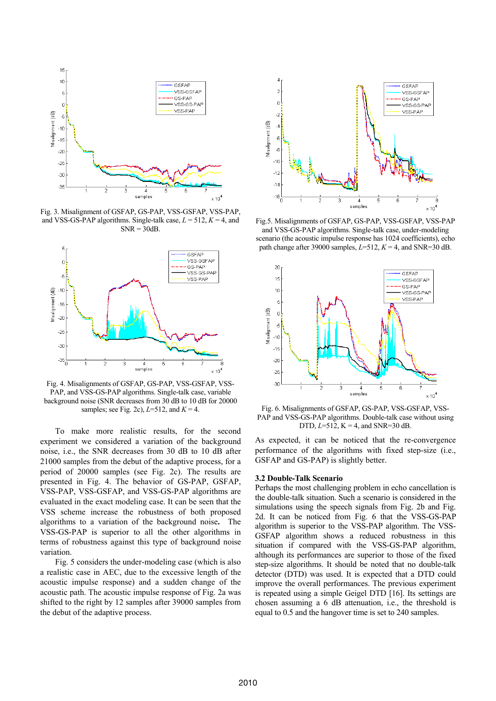

Fig. 3. Misalignment of GSFAP, GS-PAP, VSS-GSFAP, VSS-PAP, and VSS-GS-PAP algorithms. Single-talk case,  $L = 512$ ,  $K = 4$ , and  $SNR = 30dB$ .



Fig. 4. Misalignments of GSFAP, GS-PAP, VSS-GSFAP, VSS-PAP, and VSS-GS-PAP algorithms. Single-talk case, variable background noise (SNR decreases from 30 dB to 10 dB for 20000 samples; see Fig. 2c), *L*=512, and *K* = 4.

To make more realistic results, for the second experiment we considered a variation of the background noise, i.e., the SNR decreases from 30 dB to 10 dB after 21000 samples from the debut of the adaptive process, for a period of 20000 samples (see Fig. 2c). The results are presented in Fig. 4. The behavior of GS-PAP, GSFAP, VSS-PAP, VSS-GSFAP, and VSS-GS-PAP algorithms are evaluated in the exact modeling case. It can be seen that the VSS scheme increase the robustness of both proposed algorithms to a variation of the background noise**.** The VSS-GS-PAP is superior to all the other algorithms in terms of robustness against this type of background noise variation.

Fig. 5 considers the under-modeling case (which is also a realistic case in AEC, due to the excessive length of the acoustic impulse response) and a sudden change of the acoustic path. The acoustic impulse response of Fig. 2a was shifted to the right by 12 samples after 39000 samples from the debut of the adaptive process.



Fig.5. Misalignments of GSFAP, GS-PAP, VSS-GSFAP, VSS-PAP and VSS-GS-PAP algorithms. Single-talk case, under-modeling scenario (the acoustic impulse response has 1024 coefficients), echo path change after 39000 samples,  $L=512$ ,  $K=4$ , and SNR=30 dB.



Fig. 6. Misalignments of GSFAP, GS-PAP, VSS-GSFAP, VSS-PAP and VSS-GS-PAP algorithms. Double-talk case without using DTD,  $L=512$ ,  $K = 4$ , and SNR=30 dB.

As expected, it can be noticed that the re-convergence performance of the algorithms with fixed step-size (i.e., GSFAP and GS-PAP) is slightly better.

#### **3.2 Double-Talk Scenario**

Perhaps the most challenging problem in echo cancellation is the double-talk situation. Such a scenario is considered in the simulations using the speech signals from Fig. 2b and Fig. 2d. It can be noticed from Fig. 6 that the VSS-GS-PAP algorithm is superior to the VSS-PAP algorithm. The VSS-GSFAP algorithm shows a reduced robustness in this situation if compared with the VSS-GS-PAP algorithm, although its performances are superior to those of the fixed step-size algorithms. It should be noted that no double-talk detector (DTD) was used. It is expected that a DTD could improve the overall performances. The previous experiment is repeated using a simple Geigel DTD [16]. Its settings are chosen assuming a 6 dB attenuation, i.e., the threshold is equal to 0.5 and the hangover time is set to 240 samples.